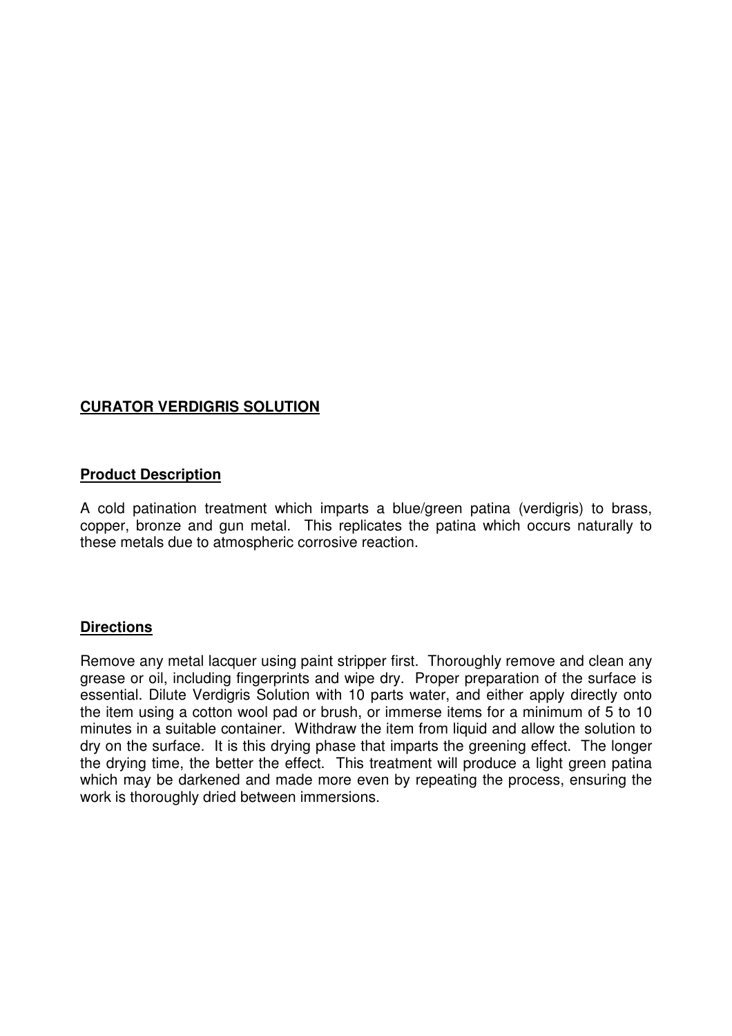# **CURATOR VERDIGRIS SOLUTION**

## **Product Description**

A cold patination treatment which imparts a blue/green patina (verdigris) to brass, copper, bronze and gun metal. This replicates the patina which occurs naturally to these metals due to atmospheric corrosive reaction.

## **Directions**

Remove any metal lacquer using paint stripper first. Thoroughly remove and clean any grease or oil, including fingerprints and wipe dry. Proper preparation of the surface is essential. Dilute Verdigris Solution with 10 parts water, and either apply directly onto the item using a cotton wool pad or brush, or immerse items for a minimum of 5 to 10 minutes in a suitable container. Withdraw the item from liquid and allow the solution to dry on the surface. It is this drying phase that imparts the greening effect. The longer the drying time, the better the effect. This treatment will produce a light green patina which may be darkened and made more even by repeating the process, ensuring the work is thoroughly dried between immersions.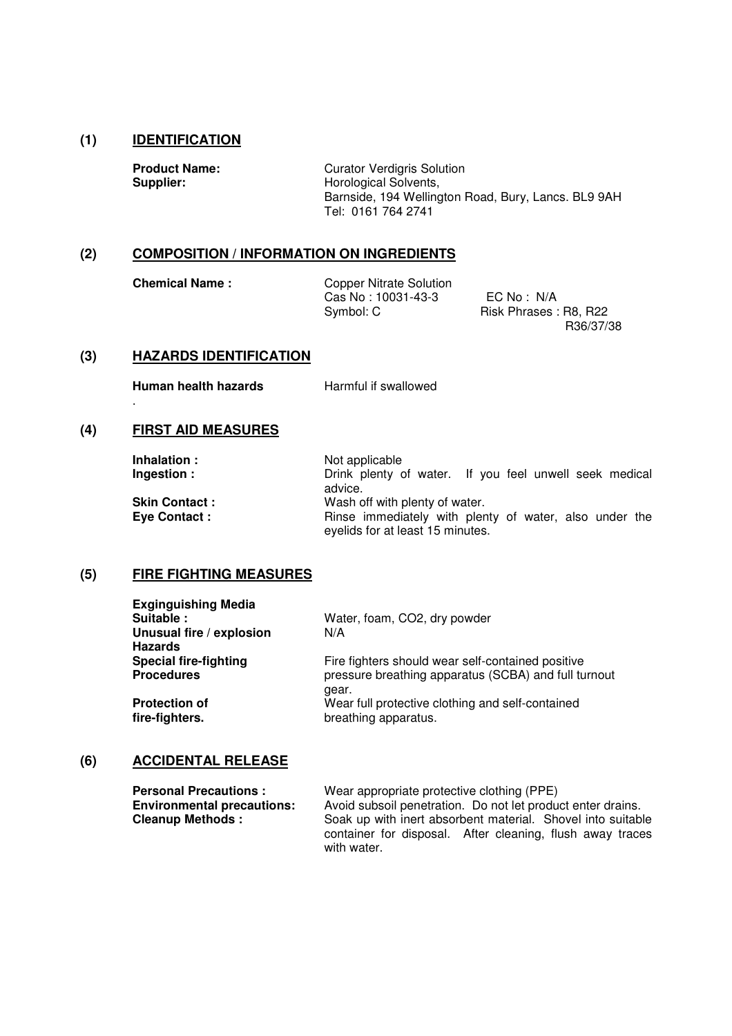## **(1) IDENTIFICATION**

**Product Name:** Curator Verdigris Solution<br> **Supplier:** Horological Solvents. **Horological Solvents,**  Barnside, 194 Wellington Road, Bury, Lancs. BL9 9AH Tel: 0161 764 2741

## **(2) COMPOSITION / INFORMATION ON INGREDIENTS**

**Chemical Name :** Copper Nitrate Solution Cas No : 10031-43-3 EC No : N/A<br>Symbol: C Risk Phrases :

Risk Phrases : R8, R22 R36/37/38

#### **(3) HAZARDS IDENTIFICATION**

**Human health hazards** Harmful if swallowed

## **(4) FIRST AID MEASURES**

.

| Inhalation:          | Not applicable                                                                             |
|----------------------|--------------------------------------------------------------------------------------------|
| Ingestion:           | Drink plenty of water. If you feel unwell seek medical<br>advice.                          |
| <b>Skin Contact:</b> | Wash off with plenty of water.                                                             |
| <b>Eye Contact:</b>  | Rinse immediately with plenty of water, also under the<br>eyelids for at least 15 minutes. |

# **(5) FIRE FIGHTING MEASURES**

| <b>Exginguishing Media</b><br>Suitable:    | Water, foam, CO2, dry powder                         |
|--------------------------------------------|------------------------------------------------------|
| Unusual fire / explosion<br><b>Hazards</b> | N/A                                                  |
| <b>Special fire-fighting</b>               | Fire fighters should wear self-contained positive    |
| <b>Procedures</b>                          | pressure breathing apparatus (SCBA) and full turnout |
|                                            | gear.                                                |
| <b>Protection of</b>                       | Wear full protective clothing and self-contained     |
| fire-fighters.                             | breathing apparatus.                                 |

#### **(6) ACCIDENTAL RELEASE**

| <b>Personal Precautions:</b>      | Wear appropriate protective clothing (PPE)                  |  |  |
|-----------------------------------|-------------------------------------------------------------|--|--|
| <b>Environmental precautions:</b> | Avoid subsoil penetration. Do not let product enter drains. |  |  |
| <b>Cleanup Methods:</b>           | Soak up with inert absorbent material. Shovel into suitable |  |  |
|                                   | container for disposal. After cleaning, flush away traces   |  |  |
|                                   | with water.                                                 |  |  |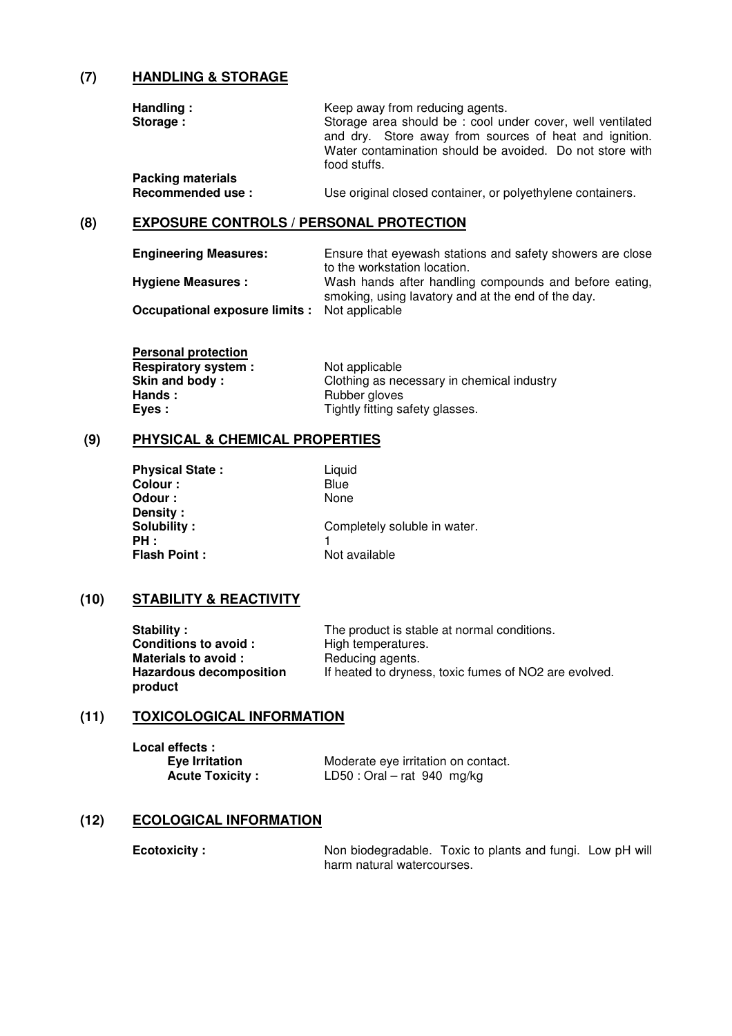## **(7) HANDLING & STORAGE**

| Handling:                | Keep away from reducing agents.                                                                                                                                                                 |  |
|--------------------------|-------------------------------------------------------------------------------------------------------------------------------------------------------------------------------------------------|--|
| Storage:                 | Storage area should be: cool under cover, well ventilated<br>and dry. Store away from sources of heat and ignition.<br>Water contamination should be avoided. Do not store with<br>food stuffs. |  |
| <b>Packing materials</b> |                                                                                                                                                                                                 |  |
| Recommended use:         | Use original closed container, or polyethylene containers.                                                                                                                                      |  |

### **(8) EXPOSURE CONTROLS / PERSONAL PROTECTION**

| <b>Engineering Measures:</b>                         | Ensure that eyewash stations and safety showers are close<br>to the workstation location.                    |  |  |
|------------------------------------------------------|--------------------------------------------------------------------------------------------------------------|--|--|
| <b>Hygiene Measures:</b>                             | Wash hands after handling compounds and before eating,<br>smoking, using lavatory and at the end of the day. |  |  |
| <b>Occupational exposure limits :</b> Not applicable |                                                                                                              |  |  |

**Personal protection Respiratory system :** Not applicable<br> **Skin and body :** Clothing as ne **Skin and body :** Clothing as necessary in chemical industry<br> **Hands :** Rubber gloves  **Hands :** Rubber gloves **Eyes :** Tightly fitting safety glasses.

### **(9) PHYSICAL & CHEMICAL PROPERTIES**

| <b>Physical State:</b> | Liquid                       |
|------------------------|------------------------------|
| Colour :               | Blue                         |
| Odour :                | None                         |
| Density:               |                              |
| Solubility:            | Completely soluble in water. |
| PH:                    |                              |
| <b>Flash Point:</b>    | Not available                |

### **(10) STABILITY & REACTIVITY**

| Stability:                                | The product is stable at normal conditions.           |
|-------------------------------------------|-------------------------------------------------------|
| <b>Conditions to avoid:</b>               | High temperatures.                                    |
| Materials to avoid:                       | Reducing agents.                                      |
| <b>Hazardous decomposition</b><br>product | If heated to dryness, toxic fumes of NO2 are evolved. |

### **(11) TOXICOLOGICAL INFORMATION**

**Local effects :** 

**Eye Irritation** Moderate eye irritation on contact.<br> **Acute Toxicity:** LD50: Oral – rat 940 mg/kg **LD50 : Oral – rat 940 mg/kg** 

#### **(12) ECOLOGICAL INFORMATION**

**Ecotoxicity :** Non biodegradable. Toxic to plants and fungi. Low pH will harm natural watercourses.